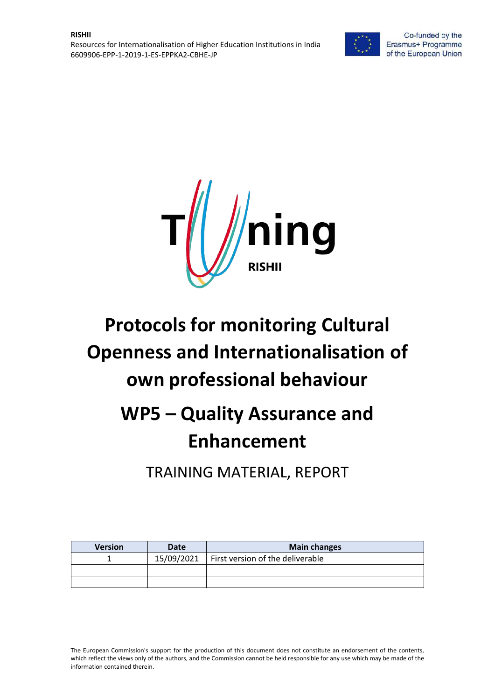



# **Protocols for monitoring Cultural Openness and Internationalisation of own professional behaviour**

## **WP5 – Quality Assurance and Enhancement**

TRAINING MATERIAL, REPORT

| <b>Version</b> | Date       | <b>Main changes</b>              |
|----------------|------------|----------------------------------|
|                | 15/09/2021 | First version of the deliverable |
|                |            |                                  |
|                |            |                                  |

The European Commission's support for the production of this document does not constitute an endorsement of the contents, which reflect the views only of the authors, and the Commission cannot be held responsible for any use which may be made of the information contained therein.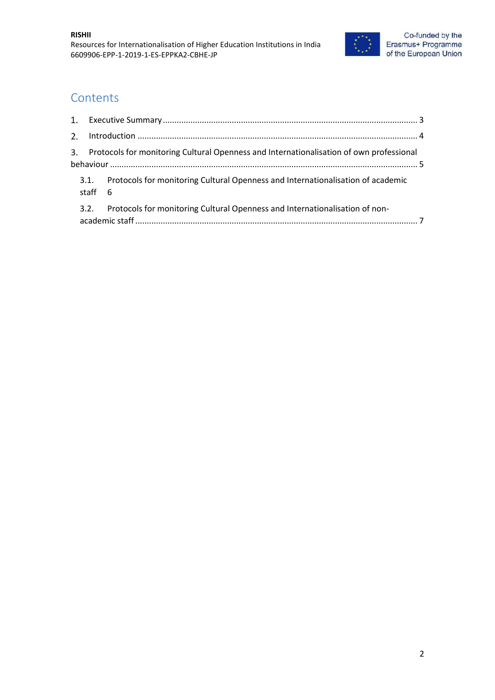

#### **Contents**

| 3. Protocols for monitoring Cultural Openness and Internationalisation of own professional |                                                                                      |  |
|--------------------------------------------------------------------------------------------|--------------------------------------------------------------------------------------|--|
| staff 6                                                                                    | 3.1. Protocols for monitoring Cultural Openness and Internationalisation of academic |  |
| 3.2.                                                                                       | Protocols for monitoring Cultural Openness and Internationalisation of non-          |  |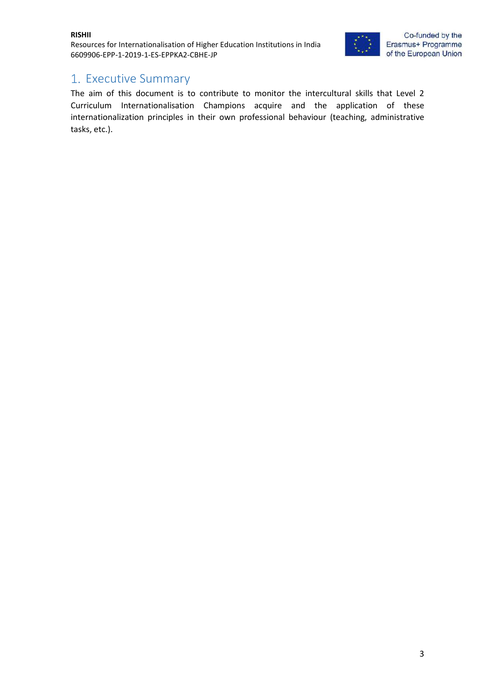Resources for Internationalisation of Higher Education Institutions in India 6609906-EPP-1-2019-1-ES-EPPKA2-CBHE-JP



#### <span id="page-2-0"></span>1. Executive Summary

The aim of this document is to contribute to monitor the intercultural skills that Level 2 Curriculum Internationalisation Champions acquire and the application of these internationalization principles in their own professional behaviour (teaching, administrative tasks, etc.).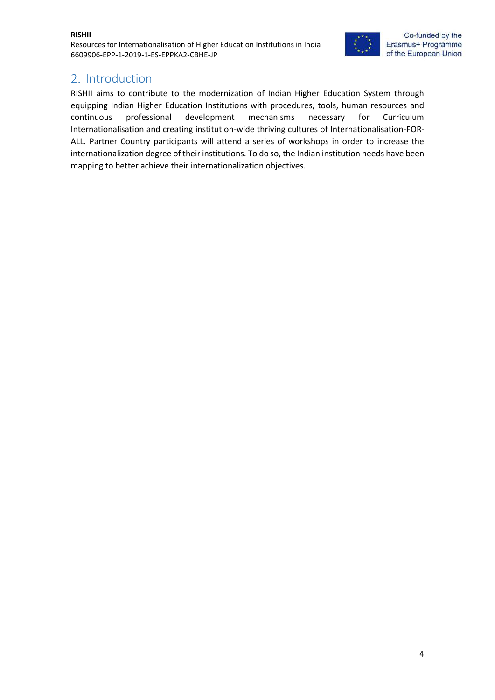Resources for Internationalisation of Higher Education Institutions in India 6609906-EPP-1-2019-1-ES-EPPKA2-CBHE-JP



### <span id="page-3-0"></span>2. Introduction

RISHII aims to contribute to the modernization of Indian Higher Education System through equipping Indian Higher Education Institutions with procedures, tools, human resources and continuous professional development mechanisms necessary for Curriculum Internationalisation and creating institution-wide thriving cultures of Internationalisation-FOR-ALL. Partner Country participants will attend a series of workshops in order to increase the internationalization degree of their institutions. To do so, the Indian institution needs have been mapping to better achieve their internationalization objectives.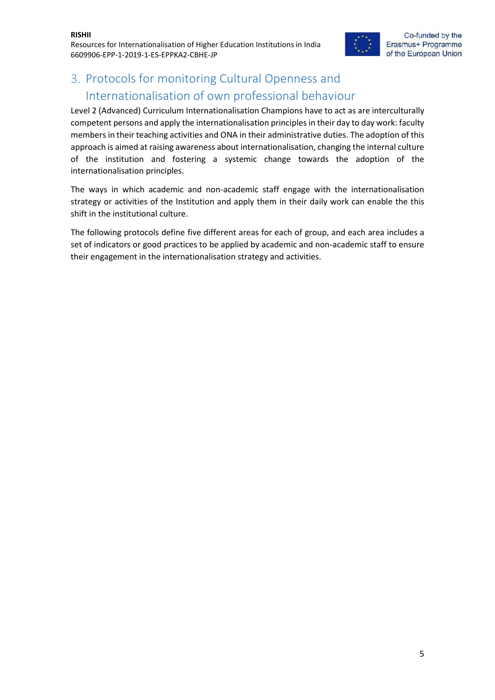

## <span id="page-4-0"></span>3. Protocols for monitoring Cultural Openness and Internationalisation of own professional behaviour

Level 2 (Advanced) Curriculum Internationalisation Champions have to act as are interculturally competent persons and apply the internationalisation principles in their day to day work: faculty members in their teaching activities and ONA in their administrative duties. The adoption of this approach is aimed at raising awareness about internationalisation, changing the internal culture of the institution and fostering a systemic change towards the adoption of the internationalisation principles.

The ways in which academic and non-academic staff engage with the internationalisation strategy or activities of the Institution and apply them in their daily work can enable the this shift in the institutional culture.

The following protocols define five different areas for each of group, and each area includes a set of indicators or good practices to be applied by academic and non-academic staff to ensure their engagement in the internationalisation strategy and activities.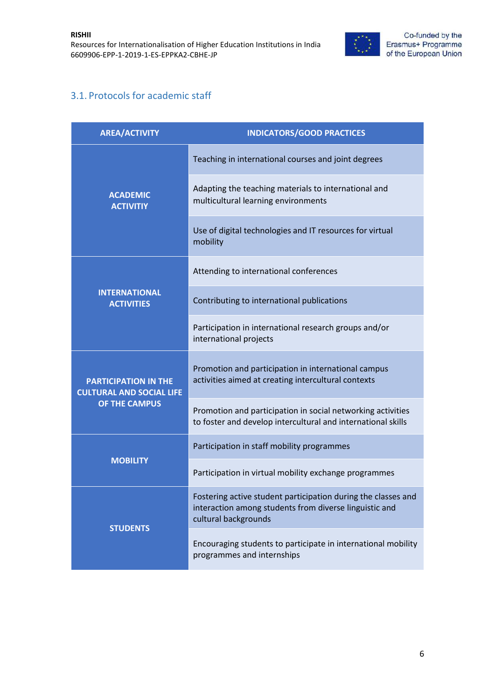

#### <span id="page-5-0"></span>3.1. Protocols for academic staff

| <b>AREA/ACTIVITY</b>                                           | <b>INDICATORS/GOOD PRACTICES</b>                                                                                                                |
|----------------------------------------------------------------|-------------------------------------------------------------------------------------------------------------------------------------------------|
|                                                                | Teaching in international courses and joint degrees                                                                                             |
| <b>ACADEMIC</b><br><b>ACTIVITIY</b>                            | Adapting the teaching materials to international and<br>multicultural learning environments                                                     |
|                                                                | Use of digital technologies and IT resources for virtual<br>mobility                                                                            |
|                                                                | Attending to international conferences                                                                                                          |
| <b>INTERNATIONAL</b><br><b>ACTIVITIES</b>                      | Contributing to international publications                                                                                                      |
|                                                                | Participation in international research groups and/or<br>international projects                                                                 |
| <b>PARTICIPATION IN THE</b><br><b>CULTURAL AND SOCIAL LIFE</b> | Promotion and participation in international campus<br>activities aimed at creating intercultural contexts                                      |
| OF THE CAMPUS                                                  | Promotion and participation in social networking activities<br>to foster and develop intercultural and international skills                     |
|                                                                | Participation in staff mobility programmes                                                                                                      |
| <b>MOBILITY</b>                                                | Participation in virtual mobility exchange programmes                                                                                           |
| <b>STUDENTS</b>                                                | Fostering active student participation during the classes and<br>interaction among students from diverse linguistic and<br>cultural backgrounds |
|                                                                | Encouraging students to participate in international mobility<br>programmes and internships                                                     |